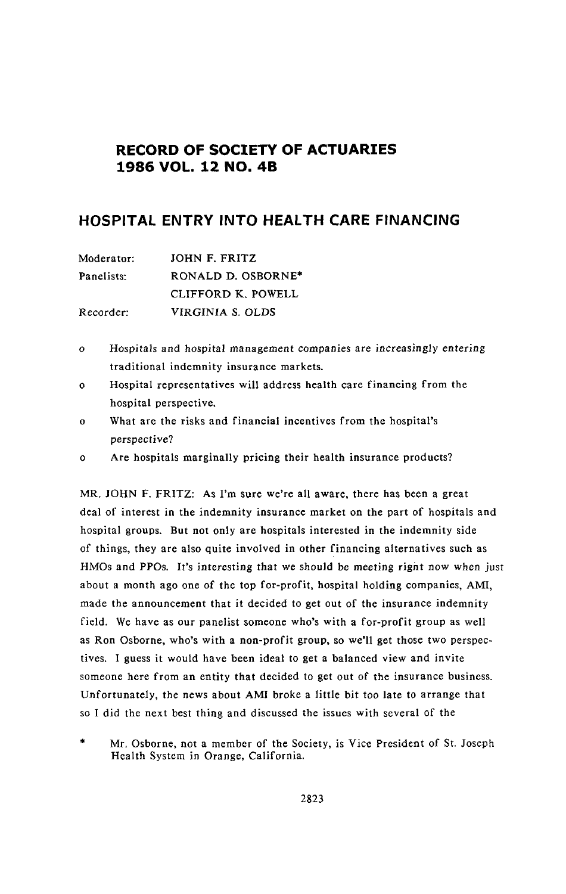# **RECORD OF SOCIETY OF ACTUARIES 1986 VOL. 12 NO. 4B**

# **HOSPITA**L **ENTRY INTO HEA**L**TH CARE FINANCING**

| Moderator: | JOHN F. FRITZ      |
|------------|--------------------|
| Panelists: | RONALD D. OSBORNE* |
|            | CLIFFORD K. POWELL |
| Recorder:  | VIRGINIA S. OLDS   |

- *o* Hos**p**itals and h*o*s**p**i**t**al management companies are increasingly entering traditional indemnity insurance markets.
- o Hospital representatives will address health care financing from the hospital perspective.
- o What are the risks and financial incentives from the hospital's perspec*t*ive?
- o Are hospitals marginally pricing their health insurance products?

MR. JOH*N* F. FRITZ: As I'm sure we're all aware, there has been a great deal of interest in the indemnity insurance market on the part of hospitals and hospital groups. But not only are hospitals interested in the indemnity side of things, they are also quite involved in other financing alternatives such as HMOs and PPOs. It's in*t*eresting that we sh*o*uld be meeting righ*t* now when j*u*s*t* about a month ago one of the top for-profit, hospital holding companies, AMI, made the announcement that it decided to get out of the insurance indemnity field. We have as our panelist someone who's with a for-profit group as well as Ron Osborne, who's with a non-profit group, so we'll get those two perspectives. I guess it would have been ideal to get a balanced view and invite someone here from an entity that decided to get out of the insurance business. Unfortunately, the news about AM*/* broke a little bit too late to arrange that so I did the next best thing and discussed the issues with several of the

\* Mr. Osborne, not a member of the Society, is Vice President of St. Joseph Health System in Orange, *C*alifornia.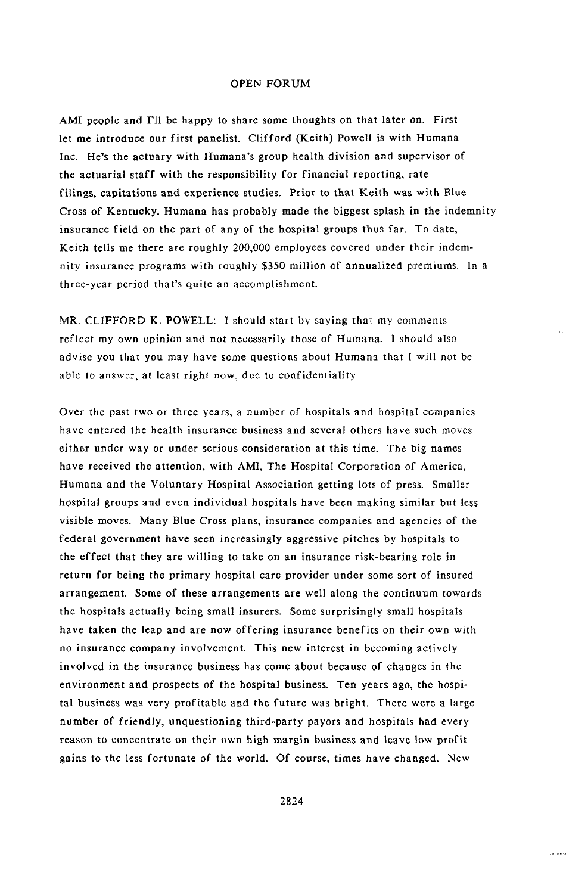AMI people and I'll be happy to share some thoughts on that later on. First let me intro**d**uce our first pan**e**list. Clif**f**ord (Keith) Powell is with Humana Inc. He's the actuary with Humana's group health **d**ivision an**d** supervisor of the actuarial staff with the responsibility for financial reporting, rate filings, capita**t**ions an**d** experience stu**d**ies. Prior to **t**hat Keith was with Blue C*r*oss of Kentuc**k**y. Humana has p*r*obably ma**d**e the biggest splash in the indemnity insurance fiel**d** on the part of any of the hospital groups thus **f**ar. To **d**ate, Keith tells me there are roughly 200,000 employees covere**d** under their indemnity insurance programs with roughly \$350 million of annualize**d** premiums. In a three-year period that's quite an accomplishment.

MR. CLIFFORD K. POWELL: I shoul**d** start by saying that my comments reflect my own opinion and not necessarily those of Humana. I should also advise you that you may have some questions about Humana that I will not be able to **a**nswer, at least right now, due to confidentiality.

Over the past two or three years, a number of hospitals and hospital companies have entered the health insurance business and several others have such moves either under way or under serious consideration at this time. The big names have received the attention, with *A*MI, The Hospital Corporation of America, Humana and the Voluntary Hospital Association getting lots of press. Smaller hospital groups and even individual hospitals have been making similar but less visible moves. Many *B*lue *C*ross plans, insurance com**p**anies and agencies of the federal government have seen increasingly aggressive pitches by hospitals to the effect that they are willing to take o*n* an insurance risk-bearing role in return for being the primary hospital care provider under some sort of insured arrangement. Some of these arrangements are well along the continuum towards the hospitals actually being small insurers. Some surprisingly small hospitals have taken the lea**p** and are now offering insurance benefits on their own with n*o* insurance company involvement. This new interest in becoming actively involved in the insurance business has come about because of changes in the environment and **p**rospects *o*f the hospital business. Ten years ago, the hospital business was very profitable and the future was bright. There were a large number of friendly, unquestioning third-party payors and hospitals had every reason to concentrate on their own high margin business and leave low profit gains to the less fortunate of the world. Of course, times have changed. New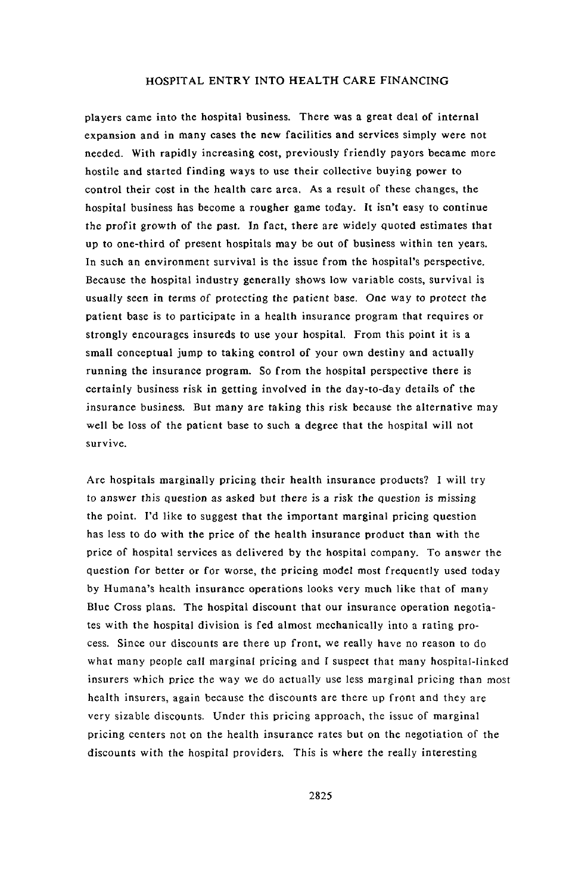pla**y**ers **c**ame into the hos**p**ital business. There was a great d**e**al of internal expansion and in many cases the new facilities and services simply were not needed. With rapidly increasing cost, previously friendly payors became more hostile and started finding ways to use their collective buying power to con**t**rol their cost in the health care area. As a result of **t**hese changes, the hospital business has become a rougher game today. It isn't easy to continue **t**he pr*o*fi**t** gr*o*w**t**h of the pas**t**. In fa**ct**, **t**here are widely quoted estimates that up to one-third of present hospitals may be out of business within ten years. In such an environment survival is the issue from the hospital's perspective. Because the hospital industry generally shows low variable costs, survival is usually seen in terms of protecting the patien**t** base. One way t*o* pro**t**ec**t** *t*he patient base is to *p*articipate in a health insuran**c**e program that requires or strongly encourages insureds to use your hospital. From this point it is a small con**c**eptual jump to taking control of your own destiny and actually running the insurance program. So from the hospital perspective there is certainly business risk in getting involved in the day-to-day de*t*ails of the insurance business. But many are taking **t**his risk because the alternative may well be loss of the patient base to such a degree that the hospital will not survive.

Are hos**p**ita**l**s **m**argina**l**ly pricing the**i**r heal**t**h **i**nsura**n**ce products? I will try *t*o answer this question as asked b**u**t there **i**s a risk the questio**n** i**s** missi**n**g the point. I'd like to suggest that the important marginal pricing question has less to do with the price of the health insurance product than with the price of hospital services as delivered by the hos**p**ital com**p**an**y**. To answer the question f**o**r better or for worse, the pricing model most fre**q**uently used today by Humana's health insurance **o**perations l**oo**ks very **m**uch like that of many Blue *C*ross plans. The hospital discount that our insurance operation negotiates with the hospital division is fed almost mechanically into a rating process. Since our discounts are there up front, we really have no reason to do what ma**n**y people call marginal pricing and I suspect **t**hat many hospital-linked insurers which price the way we do actually use less marginal pricing than most health in**s**urers, again because the discounts are there up front and they are very sizable discounts. Under this pricing approach, the issue of marginal pricing centers not on the health insurance rates but on the negotiation of **t**he discounts with the hospital providers. This is where the really interesting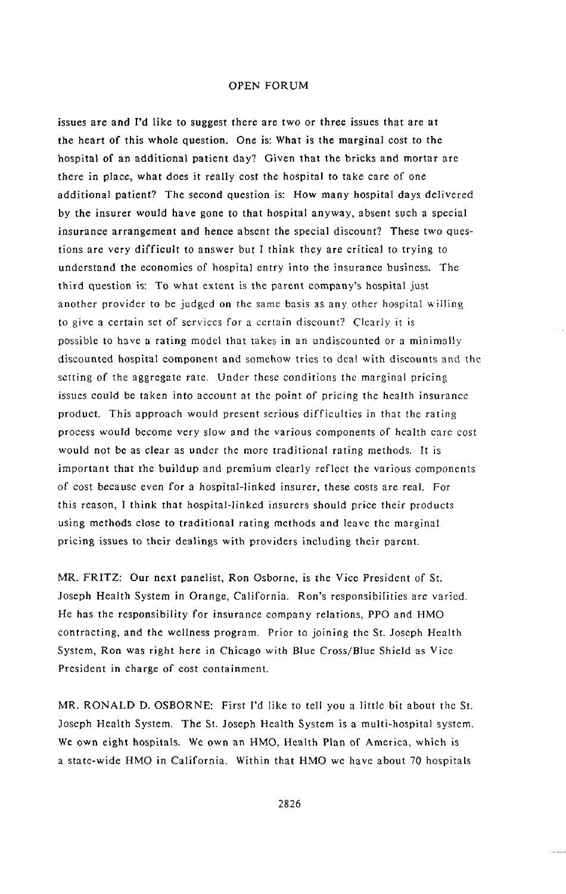issues a**r**e and I**'**d lik*e* to suggest **t**her**e** are two or three issues that are a**t** the heart of this whole question. One is: What is the marginal cost to the hospi**t**al of an addi**t**ional patient da**y***?* Given that the bricks and mortar are there in place, what does it r*e*all**y** cost the hospital to take care of one additional patient? The second question is: How many hospital days delivered by the insurer would have gone to that hospital anywa**y**, absent such a special insurance arrangement and hence absent the special discount? These two questions are very difficult t*o* answer but I think they are critical to trying to understand the economics of hospital entry into the insurance business. The third question is: To what extent is the parent company's hospital just another provider to be judged on the same basis as any other hospital willing to give a certain set of services for a certain discount? Clearly it is possible to have a rating model that takes in an undiscounted or a minimally discounted hospital component and somehow tries to deal with discounts and the setting of the aggregate rate. Under these conditions thc marginal pricing issues could be taken into account at the point of pricing the health insurance product. This approach would present serious difficulties in that the rating process would become very slow and the various components of health care cost would not be as clear as under the more traditional rating methods. It is important that the buildup and premium clearly reflect the various comp*o*nents of cost because even for a hospital-linked insurer, these costs are real. For this reason, I think that hospital-linked insurers should price their pr*o*ducts using methods close to traditional rating methods and leave the marginal pricing issues to their dealings with providers including their parent.

MR. FRITZ: Our next panel**i**st, **R**on Osb*o*rne, is the Vice President of St. Joseph Health System in Orange, California. Ron's responsibilities are varied. He has the responsibility for insuran*c*e company relations, PPO and HMO contracting, and the wellness program. Prior to joining the St. Joseph Health System, Ron was right here in Chicago with Blue Cross*/*Blue Shield as Vice President in charge of cost containment.

MR. RONALD D*.* OSBORNE: First I'd like to tell you a little bit about the St. Joseph Health System. The St. Joseph Health System is a multi-hospital system. We own eight hospitals. We own an HMO, Health Plan of America, which is a state-wide HMO in California. Within that HMO we have about 70 hospitals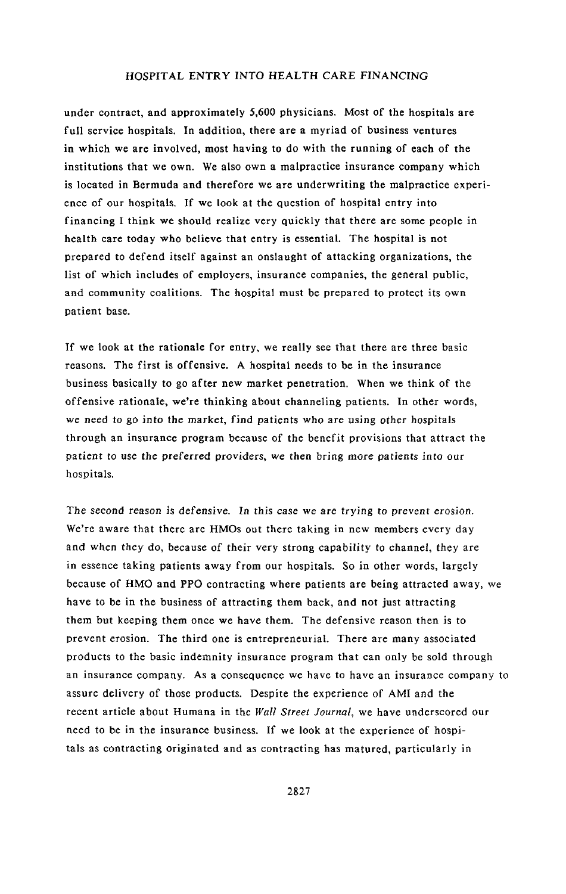unde**r** contrac**t**, a**n**d a**ppro**xima**t**ely 5,600 **p**h**y**sicians. Mos**t** of **t**he hospi**t**als are full service hospitals. In addition, there are a myriad of business ventures in which we are involved, most having to do with the running of each of the institutions that we own. We also own a malpractice insurance company which is located in Bermuda and therefore we are underwriting the malpractice experience of our hospitals. If we look at the question of hospital entry into financing I think we should realize very quickly tha**t** there are some people in health care today who believe that entry is essential. The hospital is not prepared to defend itself against an onslaught of attacking organi*z*ations, the list of which includes of employers, insurance companies, the general public, and community coalitions. The hospital must be prepared to protect its own patient base.

If we look at the rationale for entry, we really see that there are three basic reasons. The first is offensive. A hospital needs to be in the insurance business basically to go after new market penetration. When we think of the offensive rationale, we're thinking about channeling patients. In other words, we need t*o* g*o* into the market, find patients who are using *o***t**her hospitals through an insurance program because of the benefit provisions that attract the patien**t** t*o* use the pr**e**ferred *p*roviders, we then bring m*o*re patien*t*s int*o* our hospitals.

The sec*o*nd reas*o*n is defensive. **I**n **t**his case we are trying t*o* prevent erosi*o*n. We're aware that there are HMOs out there taking in new members every day and when they do, because of their very strong capability to channel, they are in essence taking patients away from our hospitals. So in other words, largely because of HMO and PPO contracting where patients are being a**t**tracted away, we have to be in the business of attracting them back, and not just attracting them but keeping them once we have them. The defensive reason then is to prevent erosion. The third one is entrepreneurial. There are many associated products to the basic indemnity insurance program that can only be sold through an insurance company. As a consequence we have to have an insurance company to assure delivery of those products. Despite the experience of AMI and the recent article about Humana in the *Wall Street Journal*, we have underscored our need to be in the insurance business. If we look at the experience of hospitals as contracting originated and as contracting has matured, particularly in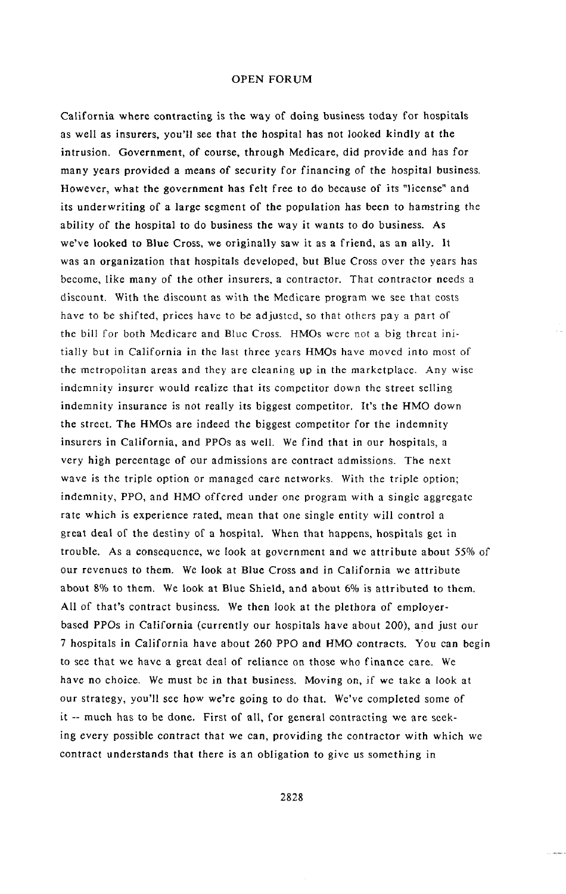C**a**lifornia where con**t**ract**i**ng is th**e** way of doing busine**s**s **t**oday for hospitals as we**l**l as ins**u**rers, **y**ou'll see **t**ha**t t**he hospi**t**al has not **l**ooked kindl**y** a**t t**he in**t**rusion. Governmen**t**, *o*f cou**r**se, **t**h**r**ough Medicare, did provide and has for man**y y**ea**r**s *p*r*o*vided a means of securi**ty** fo**r** financing of **t**he hospi**t**al business. However, wha**t t**he government has fe**lt** free t*o* do because of i**t**s "l**i**cense" and its underwri**t**ing of a large segmen**t** of **t**he popula**ti**on has been **t**o hams**t**ring **t**he abilit**y** of **t**he hospi**t**a**l t**o do business **t**h**e** wa**y** i**t** wan**t**s **t**o do business. As we've looked **t**o **B**lue C**r**oss, we o**r**igina**lly** saw **it** as a f**r**iend, as an a**l**l**y**. I**t** was an o**r**ganiza**t**ion tha**t** hospi**t**als developed, bu**t B**lue Cross *o*ver **t**he **y**ears has b**e**come, like man**y** *o*f **t**he o**t**her insurers*,* a con**t**rac**t**or. That c*o*n**t**rac**t**or needs a discount. With the discount as with the Medicare program we see that costs have to be shifted, prices have to be adjusted**,** so that others pay a part of, the bill for both Medicare and Blue Cross. HMOs were not a big threat initially but in *C*alifornia in the last three years HMOs have moved into most of the metropolitan areas and the**y** are cleaning up in the marketplace. Any wise indemnity insurer would realize that its competitor down the street selling indemnity insurance is not really its biggest competitor. It*'*s the HMO down the street. The HMOs are indeed the biggest c*o*mpetitor for the indemnity insurers in California, and PPOs as well. We find that in our hospitals, a very high percentage of *o*ur admissions are contract admissions**.** The next wave is the triple option or managed care networks. With the triple option; indemnity, PPO, and HMO offered under one program with a single aggregate rate which is experience rated**,** mean that one single entity will control a great deal of the destin**y** of a hospital. When **t**hat happens, h*o*spitals get in trouble. As a consequence, we look at government and we attribute about 55% of our revenues to them. We look at Blue Cross and in California we attribute about 8% to them. We look at B**l**ue Shield**,** and about 6% is at**t**ributed to them. All *o*f that*'*s c*o*ntract business. We then look at the plethora of employerbased PPOs in *C*alifornia (currently our hospitals have about 200), and just our 7 hospitals in *C*alifornia have about 260 PPO and HMO contracts. You can begin to see that we have a great deal of reliance on those who finance care. We have no choice. We must be in that business. Moving on, if we take a l*o*ok at our strategy, **y**ou'll see h*o*w we*'*re going to do that. We've completed some of it -- much has to be done. First of all, for gene**r**al contracting we arc seeking every possible c*o*ntract that we can, providing the contractor with which we contract understands that there is an obligation to give us something in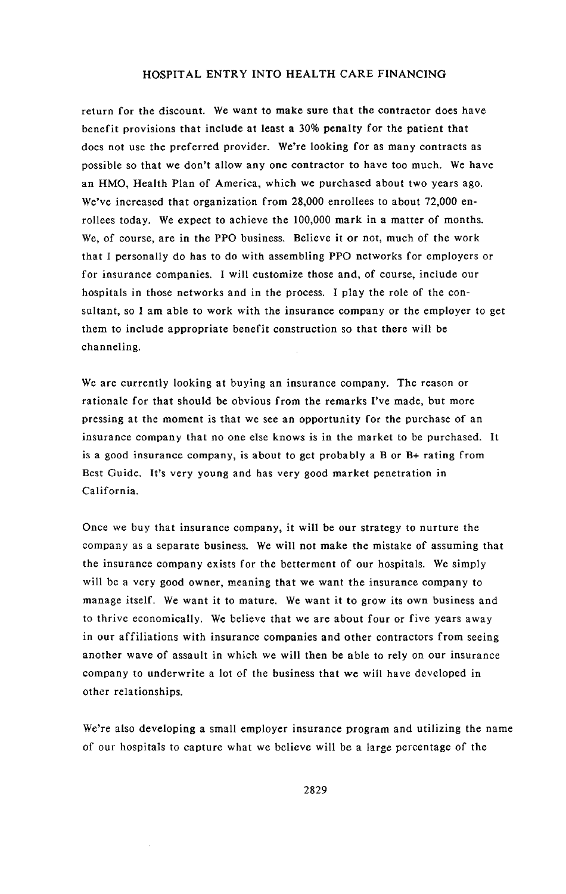return for the discount. We want to make sure that the contractor does have benefit provisions that include at least a 30% penalty for the patient that does not use the preferred provider. We're looking for as many contracts as possible so that we don't allow any one contractor to have too much. We have an HMO, Health Plan of America, which we purchased about two years ago. We've increased that organization from 28,000 enrollees to about 72,000 enrollees today. We expect to achieve the 100,000 mark in a matter of months. We, of course, are in the PPO business. Believe it or not, much of the work that I personally do has to do with assembling PPO networks for employers or for insurance companies. I will customi*z*e those and, of course, include our hospitals in those networks and in the process. I play the role of the consultant, so I am able to work with the insurance company or the employer to get them to include appropriate benefit construction so that there will be channeling.

We are curren**t**ly looking a**t** bu**y**ing an insurance company. The reason or rationale for that should be obvious from the remarks I've made, but more pressing at the moment is that we see an opportunity for the purchase of an insurance company that no one else knows is in the market to be purchased. It is a good insurance company, is about to get probably a B or B+ rating from Best Guide. It's very young and has very good market penetration in California.

Once we buy that insurance company, it will be our strategy to nurture the company as a separate business. We will not make the mistake of assuming that the insurance company exists for the betterment of our hospitals. We simply will be a very good owner, meaning that we want the insurance company to manage itself. We want it to mature. We want it to grow its own busines**s** and to thrive economically. We believe that we are about four or five years away in our affiliations with insurance companies and other contractors from seeing another wave of assault in which we will then be able to rely on our insurance company to underwrite a lot of the business that we will have developed in other relationships.

We're also **d**eveloping a small emplo**y**er insurance **p**rogram and utilizing the name of our hospitals to capture what we believe will be a large percentage of the

2829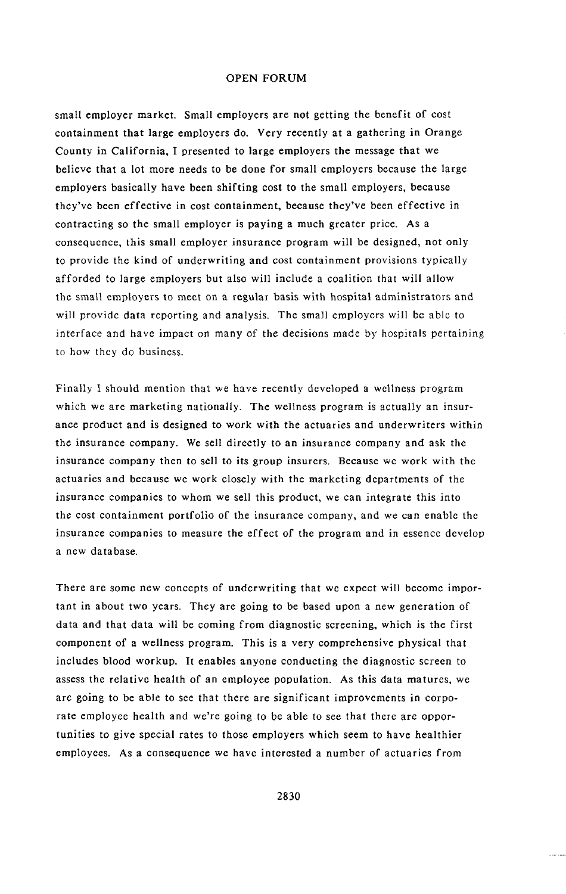small empl**o**yer market. Small employers are not getting the benefit of cost containment that large employers do. Very recently at a gathering in Orange County in *C*alifornia, I presented to large employers the message that we believe that a lot more needs to be done for small employers because the large employers basically have been shifting cost to the small employers, because they've been effective in cost containment, because they've been effective in contracting so the small employer is paying a much greater price. As a consequence, this small employer insurance program will be designed, not only to provide the kind of underwriting and cost containment provisions typically afforded to large employers but also will include a coalition that will allow the small employers to meet on a regular basis with hospital administrators and will provide data reporting and analysis. The small employers will be able to interface and have impact on many of the decisions made by hospitals pertaining to how they do business.

Finally I should mention t**h**at **w**e h**a**ve recently d**e**veloped a **w**ellness program which we are marketing nationally. The wellness program is actually an insurance product and is designed to work with the actuaries and underwriters within the insurance company. We sell directly to an insurance company and ask the insurance company then to sell to its group insurers. Because we work with the actuaries and because we work closely with the marketing departments of the insurance companies to whom we sell this product, we can integrate this into the cost containment portfolio of the insurance company, and we can enable the insurance companies to measure the effect of the program and in essence develop a new database.

There are some new concepts of underwriting that we expect will become important in about two years. They are going to be based upon a new generation of data and that data will be coming from diagnostic screening, which is the first component of a wellness program. This is a very comprehensive physical that includes blood workup. It enables anyone conducting the diagnostic screen to assess the relative health of an employee population. *A*s this data matures, we are going to be able to see that there are significant improvements in corporate employee health and we're going to be able to see that there are opportunities to give special rates to those employers which seem to have healthier employees. As a consequence we have interested a number of actuaries from

2830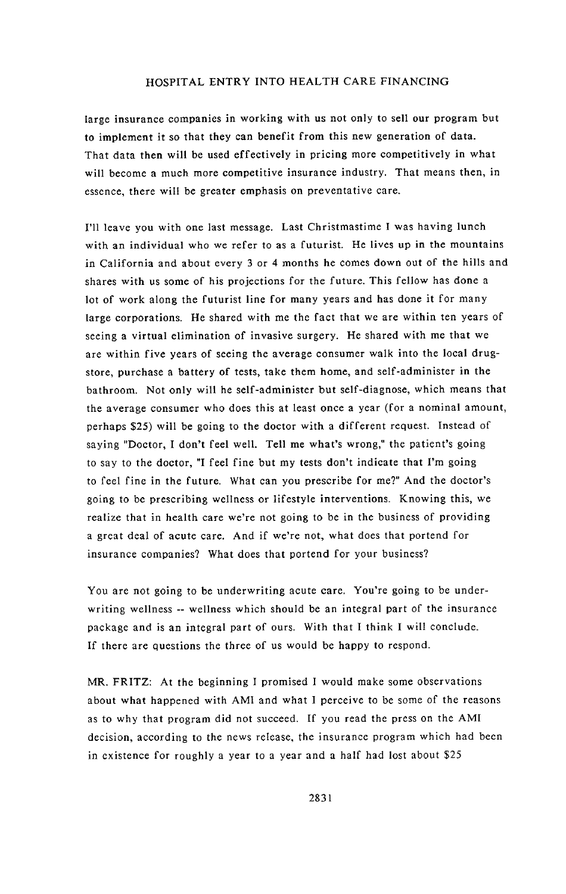large insurance companies in working wi**t**h us no**t** onl**y t**o sell our program bu**t** to implement it so that they can benefit from this new generation of data. That data then will be used effectively in pricing more competitively in what will become a much more competitive insurance industry. That means then, in essence, there will be greater emphasis on preventative care.

I'll leave you with one last message. Last Christmastime I was having lunch with an individual who we refer to as a futurist. He lives up in the mountains in California and about every 3 or 4 months he comes down out of the hills and shares with us some of his projections for the future. This fellow has done a lot of work along the futurist line for many years and has done it for many large corporations. He shared with me the fact that we are within ten years of seeing a virtual elimination of invasive surgery. He shared with me that we are within five years of seeing the average consumer walk into the local drugstore, purchase a battery of tests, take them home, and self-administer in the bathroom. Not only will he self-administer but self-diagnose, which means that the average consumer who does this at least once a year (for a nominal amount, perhaps \$25) will be going to the doctor with a different request. Instead of saying "Doctor, I don't feel well*.* Tell me what's wrong," the patient's going to say to the doctor, "I feel fine but my tests don't indicate that I'm going to feel fine in the future. What can you prescribe for me?" And the doctor's going to be prescribing wellness or lifestyle interventions. Knowing this, we realize that in health care we're not going to be in the business of providing a great deal of acute care. And if we're not, what does that portend for insurance companies? What does that portend for your business?

You are not going to be underwriting acute care. You're going to be underwriting wellness -- wellness which should be an integral part of the insurance package and is an integral part of ours. With that I think I will conclude. If there are questions the three of us would be happy to respond.

MR. FRITZ: At the beginning I promised I would make some observations about what happened with AMI and what I perceive to be some of the reasons as to why that program did not succeed. If you read the press on the AMI decision, according to the news release, the insurance program which had been in existence for roughly a year to a year and a half had lost about \$25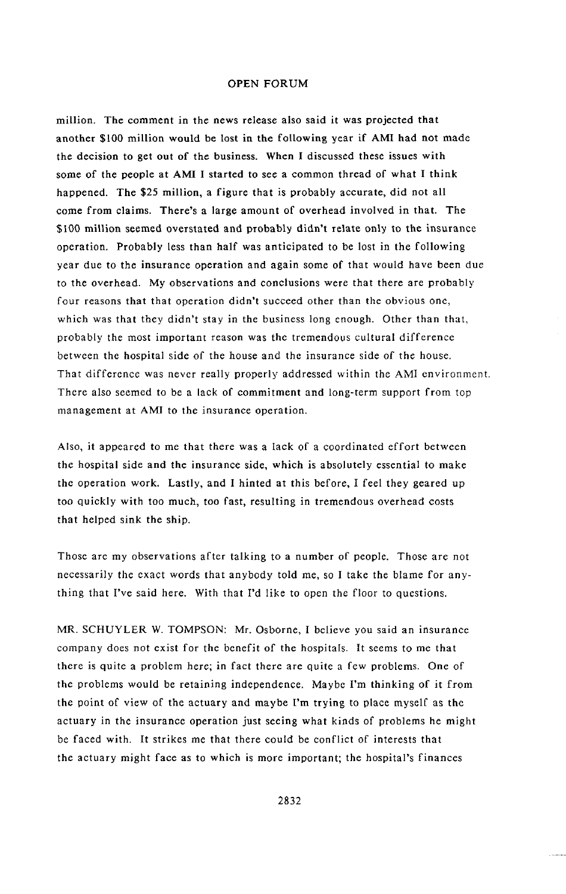mi**ll**i**o**n. The com**m**ent in **t**he news release also said it was p**ro**jected that another **\$**100 million would be lost in the following year if AMI had not made the decision to get out of the business. When I discussed these issues with some of the people at AMI I started to see a common thread of what I think happened. The \$25 million, a figure that is probably accurate, did not all come from claims. There's a large amount of overhead involved in that. The \$100 million seem**e**d overs**t**ated and probably didn't r**e**late only to the insurance operation. Probably less than half was anticipated to be lost in the following year due to the insurance operation and again some of that would have been due to the overhead. My observations and con**c**lusions were that there are probably four reasons that that operation didn't succeed other than the obvious one, which was that they didn't stay in the business long enough. Other than that, probably the most important reason was the tremendous cultural difference between the hospital side of the house and the insurance side of the house*.* That differenc**e** was never really properly addressed within the AMI environment. There also seemed to be a lack of commitment and long-term support from top management at AMI to the insurance operation.

A**l**so, it appeared to me **t**hat there was a lack of a coordi**n**ated effort be**t**ween the hospital side and the insuran**c**e side, which is absolutely essential to make the operation work. Lastly, and I hinted at this before, I feel they geared up too quickly with too much, too fast, resulting in tremendous overhead costs that helped sink the ship.

Those are my observations after talking to a number of people. Those are not necessarily the exact words that anybody told me, so I take the blame for anything that I've said here. With that I'd like to open the floor to questions.

MR. SCHUYLER W. TOMPSON: Mr. Osborne, I believe you said an insurance company does not exist for the benefit of the hospitals. It seems to me that there is quite a problem here; in fact there are quite a few problems. One of the problems would be retaining independence. Maybe l'm thinking of it from the point of view of the actuary and maybe I'm trying to place myself as the actuary in the insurance operation just seeing what kinds of problems he might be faced with. It strikes me that there could be conflict of interests that the actuary might face as to which is more important; the hospital's finances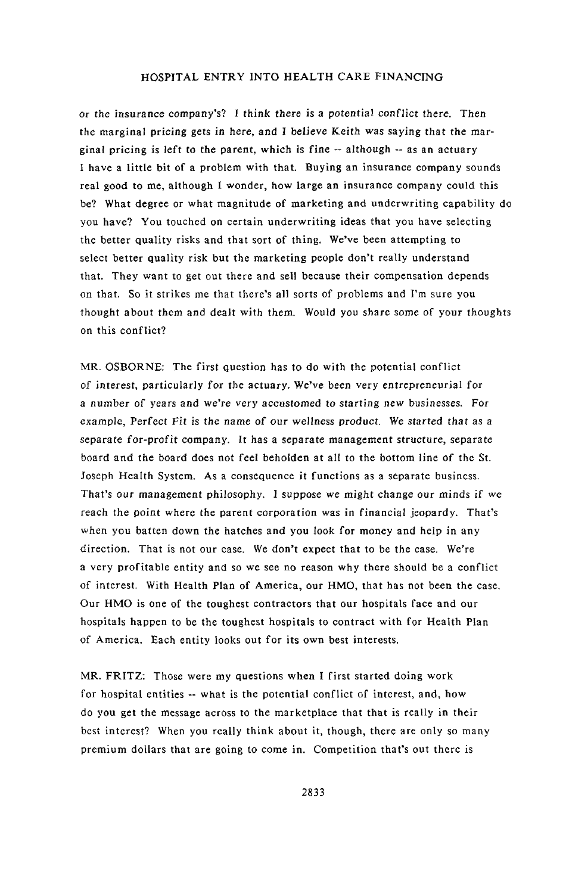*o*r the in**s***u*rance c*o*mpa*n*y**'**s? I *t*hink **t**h*e*re is a p*o*t*en*tial *c*o*n*flict there. Then the marginal pri*c*ing gets in here, and I believe Keith was saying that *t*he marginal pricing is left to the parent, which is fine -- although -- as an actuary I have a little bit of a problem with that. Buying an insurance company sounds real good to me, although I wonder, how large an insurance company could this be? What degree or what magnitude of marketing and underwriting capability do you have? You touched on certain underwriting ideas that you have selecting the better quality risks and that sort of thing. We've been attempting to select better quality risk but the marketing people don't really understand that. They want to get out there and sell because their compensation depends on that*,* So it strikes me that there's all sorts of problems and I'm sure you thought about them a*n*d deal*t* with them. Would you share s*o*me of your thoughts on this conflict?

M**R**. OS**B**O**RN**E: The firs**t qu**esti**o**n has t**o** d**o** wi**t**h the potent**i**al confl**i**ct **o**f i*n*terest, particularly for **t**he actuary. We've been very e**n**trepreneuri**a**l for a *n*umber of years a*n*d we're very accustomed *to s*tarti*n*g *n*ew busi*n*esses. For example, Perfe**c**t Fit is the name of *o*ur *w*ellness pr*o*du*c*t. We star*t*ed *t*hat as a se*p*arate for-pr*o*f**i**t c**o**mpany. *I*t has a separa*t*e management s*t*ruct*u*re, separate board and the board does not feel beholden at all to the bottom line of the St. Joseph Health Syste**m**. As a conse**q**uence it functions as a separate business. That's o*u*r management *p*hil*o*soph**y**. I suppose *w*e might cha*n*ge *o*ur *m*inds if we reach the point where the parent corporation was in financial jeopardy. That's when you batten down the hatches and you look for money and help in a**n**y direction. That is not our case. We don't expect that to be the case. We're a very profitable entity and so we see no reason why there should be a conflict of interest. With Health Plan of America, our HMO, that has not been the case, Our HMO is one of the toughest contractors that our hospitals face and our hospitals ha**p**pen to be the toughest hospitals to contract with for Health Plan of America. Each entity looks out for its own best interests.

MR. FRITZ: Those were my questions when I first started doing work for hospital entities -- what is the potential conflict of interest, and, how do you get the message across to the marketplace that that is really in their best interest? When you really think about it, though, there are only so many premium dollars that are going to come in. Competition that's out there is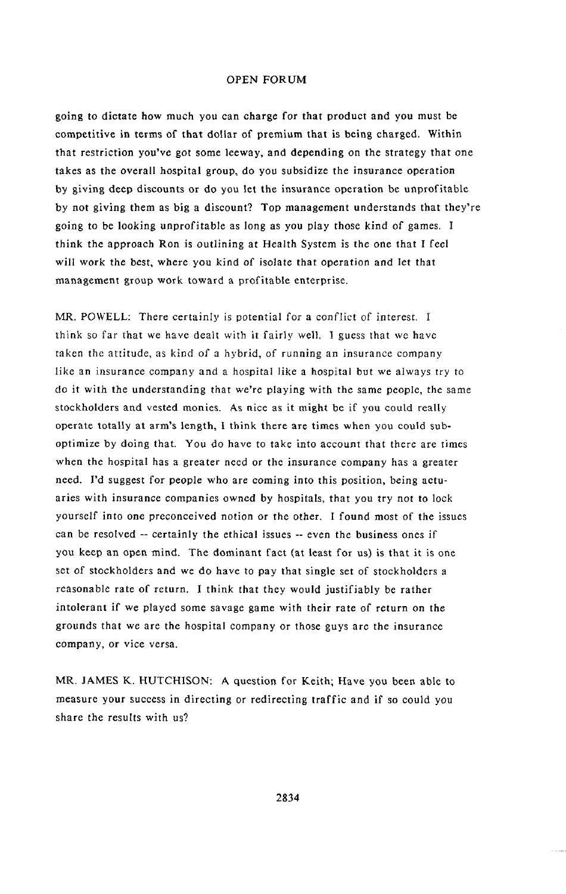go**i**ng to dictate how much **y**ou can cha**r**ge for **t**ha**t** product and **y**ou mus**t** be competitive in terms of that dollar of premium that is being charged. Within that restriction you've got some leeway, and depending on the strategy that *o*ne takes as the overall h*o*spital group, do you subsidi*z*e the insurance operation b**y** giving dee**p** discounts or do you let the insurance operation be unprofitable by not giving them as big a discount? Top management understands that they're going to be looking unprofitable as long as you play those kind of games. I think the approach Ron is outlining at Health System is the one that I feel will work the best, where you kind of isolate that operation and let that management group work toward a profitable enterprise.

MR. POWELL: There certainly is potential for a conflict of interest. I think so far that we have **d**ealt with it fairly well. I guess that we have taken the attitude, as kind of a hybrid, of running an insurance company like an insurance company and a hospital like a hospital but we always try to do it with the understanding that we're playing with the same people, the same stockholders and vested monies. As nice as it might be if you cou**l**d really operate totally at arm's length, I think there are times when you could suboptimize by doing that. You do have to take into account that there are times when the hospital has a greater need or the insurance company has a greater need. I'd suggest for pe*o*ple who are coming into this position, being actuaries with insurance companies owned by hospitals, that you try n**o**t to lock yourself into one pre*c*onceived notion or the other. I found most of the issues can be resolved -- certainly the ethical issues -- even the business ones if you ke**e**p an open mind. Th**e** dominant fa**c**t (at least for us) is that it is one set of stockholders and we do hav**c** to pay that single set of stockholders a reasonable rate of return. I think that they would justifiably be rather intolerant if we played some savage game with their rate of r**e**turn on the grounds that we are the hospital **c**ompany or those guys are the insurance company, or vice versa.

MR. **J**AM**E**S K. H**U**TCHISO**N**: A question for Keith; Have you been able to measure your success in directing or redirecting traffic and if so could you share the results with us?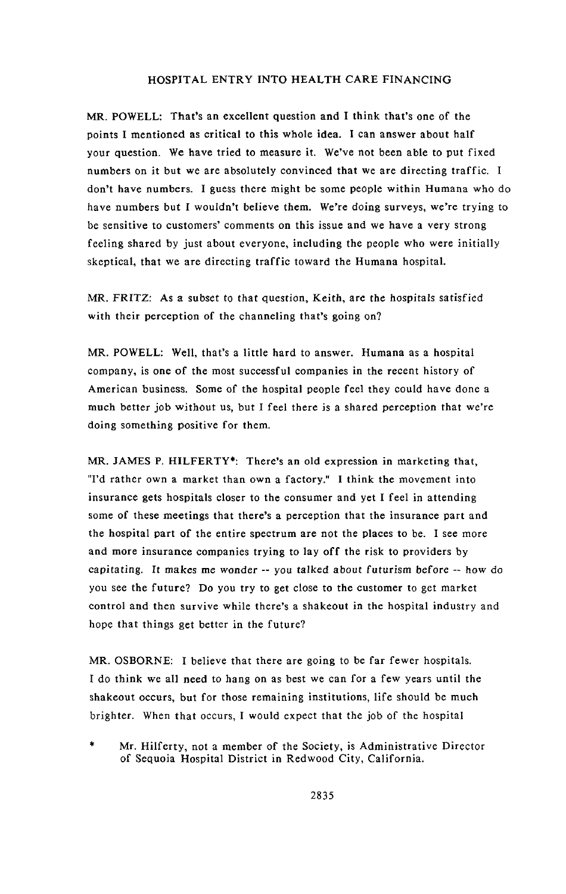M**R**. **P**O**WELL**: **T**ha**t**'s an excel**l**ent questi**o**n and I th**i**nk that**'**s **o**ne of the p**o**ints I men**tio**ned as c**r**i**t**ica**l to** this **w**ho**l**e **i**dea. I can ans**w**e**r** a*b***o**u**t** half you**r** question. **W**e have t**r**ied t**o** measur*e* i**t**. **W**e've n**o**t been a*b***l**e to put f**i**xed num*be***r**s **o**n **it** bu**t** we a**r**e absolutely c**o**n**v**inced **t**ha**t** we a**r***e* di**r**ecting t**r**affic. I don't ha**v**e numbe**r**s. I **g**uess the**r**e **mig**h**t b**e some people **w**i**t**hin **H**umana **w**ho do have nu**m**be**r**s but I **wo**u**l**dn'**t** be**li**e**v**e **t**hem. We'**r**e do**i**n**g** su**rv**eys, **w**e'**r**e t**r**yin**g** t**o** be sensitive to cust**o**mers' comments on this issue and we ha**v**e a **v**e**ry** st**ro**ng feelin**g** sha**r**ed **b**y just ab**o**ut e**v**e**r**y**o**ne, includin**g t**he pe**o**p**l**e **w**ho **w**e**r**e initia**l**ly skeptica**l t**hat **w**e a**r**e di**r**ectin**g** t**r**affic t**ow**a**r**d the Humana h**o**spita**l**.

MR. FRI**T**Z: As a subset t**o** that questi**o**n**,** Kei**t**h, a**r**e **t**he hospita**l**s satisf**i**ed **w**i**t**h thei**r** pe**r**cepti**o**n **o**f the channe**l**in**g** tha**t**'s **go**in**g o**n?

MR. **P**O**WELL**: We**ll**, that's a **l**itt**l***e* ha**r**d to answer. Humana as a hospital company, is **o**ne **o**f the most successfu**l** companies in the **r**ecent hist**or**y of Ame**r**ican business. S**o**me **o**f the hospita**l** pe**o**p**l**e feel they could ha**v**e done a much be**tt**e**r** j**o**b **w***i***t**h**o**ut us, but I fee**l** ther*e* is a sha**r**ed pe**r**ception tha**t w**e'**r**e doin**g** somethin**g** p**o**s**it**i**v**e f**or t**he**m**.

MR. JAM**E**S **P**. HI**L**F**ERTY\***: The**r**e**'**s an **ol**d exp**r**essi**o**n in **m**a**r**ketin**g t**hat, "I'd rather **o**wn a ma**r**ket than own a fact**o**ry." **I t**hink the movement into **i**nsurance **g**e**t**s h**o**sp**it**als cl**o**ser **to** the consumer and ye**t** I fee**l** in at**t**ending s**o**me **o**f these meetings that **t**here's a percep**t**i**o**n that the insurance part and the hospital part of the entire spectrum are not the places to be. I see more and more insurance companies trying to lay off the risk to providers by **e**a*p*itati**n**g. It makes me wonder -- **y**ou *t*alked about fu*t*urism before -- h*o*w do you see the future? D**o** y**o**u try to get close t**o** the customer to get market control and then survive while there's a shakeout in the hospital industry and hope that things get better in the future?

MR. OSBORNE: I believe that there are going to be far fewer hospitals. I do think we all need to hang on as best we can for a few years until the shakeout occurs, but for those remaining institutions, life should be much brighter. When that occurs, I would expect that the job of the hospital

Mr. Hilferty, not a member of the Society, is Administrative Director of Sequoia Hospital District in Redwood City, California.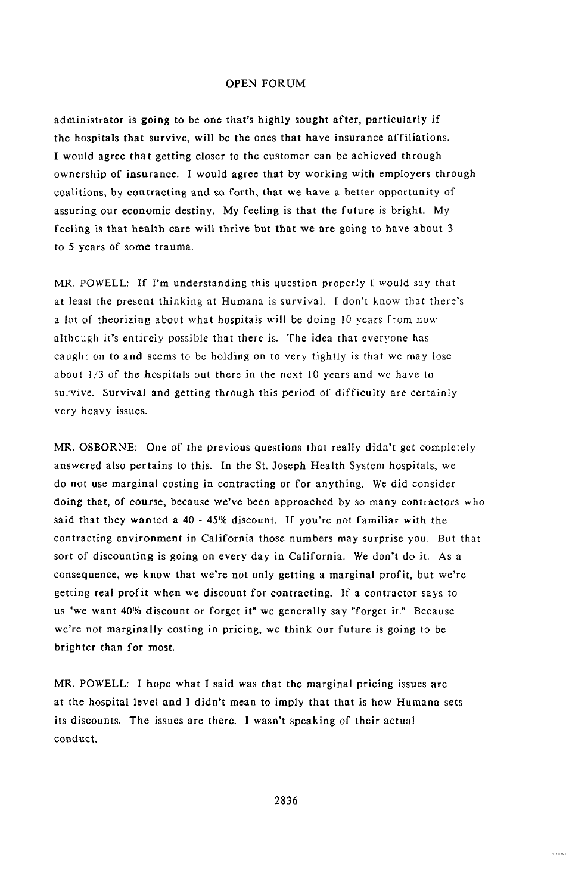admin**i**stra**t**or is go**i**ng **to** be one **t**hat's highl**y** sought after, par**ti**cu**l**arl**y** if **t**he hos*p*i**t**als **t**hat su**r**vive, wil**l** be **t**he on**e**s **t**ha**t** have insuranc**e** affi**li**a**t**ion**s**. **I** would agree **t**ha**t** ge**tt**ing closer **t**o **t**he cus**t**omer *c*an be achi**e**v**e**d **t**h**r**ough own**e**rship of insu**r**anc**e.** I wou**l**d ag**r**ee **t**ha**t** b**y** working wi**t**h emp**l**o**y**ers th**r**ough coali**t**ions, by con**t**racting and so forth, **t**hat we have a be**t**ter opportuni**t**y of assuring *o*ur economic destiny. My feeling is that the future is bright. My feeling is that heal**t**h care will thrive bu**t** that we are going to have about 3 to 5 years of some trauma.

MR*.* POWELL: If I'm unders**t**anding this question properly I would say that at least the present thinking at Humana is survival. I don't know that there's a lot of theorizing about what hospitals will be doing 10 years from now although it's entirely possible that there is. The idea that everyone has caught on to and seems to be holding on to very tightly is that we may lose ab*o*ut 1*/*3 of the hospitals out there in the next 10 years and we have to survive. Survival and getting through this period of difficulty are certainly very heavy issues.

MR. OSBORNE: On*e* of **t**he previous ques**t**ions **t**hat really didn't get completely answered also pertains to this. In the St. Joseph Health System h*o*spitals, we do not use marginal costing in contracting or for anything. We did consider doing that, of course, because we've been approached by so many contractors who said that they wanted a 40 - 45% discount*.* If you're not familiar with the contracting environment in California those numbers may surprise you. But that sort of discounting is going on every day in California*.* We don't do it. As a consequence, we know that we're n*o*t only getting a marginal profit, but we're getting real profit when we discount for contracting*.* If a contractor says to us "we want 40% discount or forget it" we generally say "forget it." **B**ecause we're not marginally costing in pricing, we think our future is going to be brighter than for most.

MR. POWELL: **I** hope wha**t I** said was tha**t t**he marginal pricing issues are at the hos*p*ital level and I didn't mean **t**o imply that that is how Humana sets its discounts. The issues are there. 1 wasn't speaking of their actual conduct.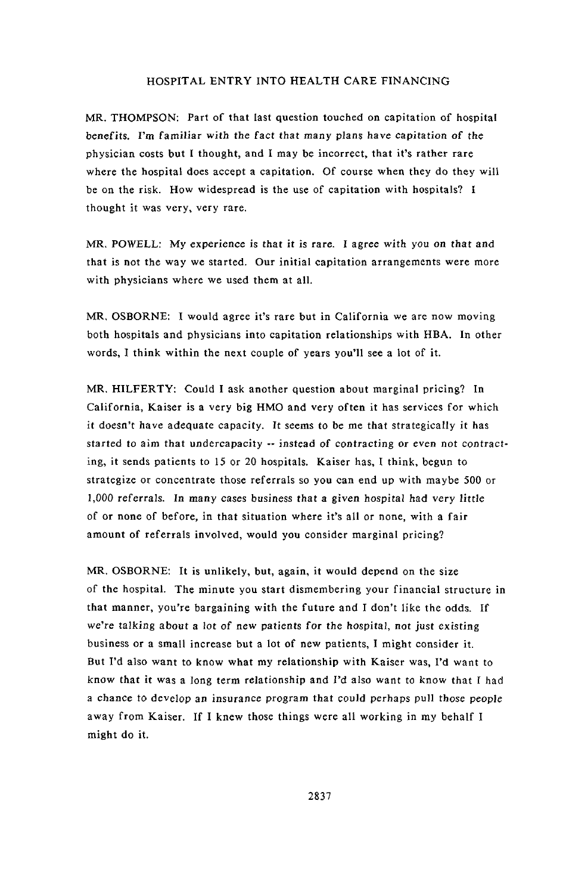MR. THOMPSON: Par**t** of **t**ha**t** las**t** question **t**ouched on capi**t**ation of hospi**t**al benefi**t**s. I'm familiar with the fac*t* that many plan*s* have capitati*o*n *o*f the physician costs but I thought, and I may be incorrect, that it's rather rare where the hospital does accept a capitation. Of course when they do they will be on the risk. How widespread is **t**he use of capitation with hospitals? I thought it was very, very rare.

MR. P*O*WE**L**L: My experience is that it is rare. I agree with y*o*u *o*n that and that is not the way we started. Our initial capitation arrangements were more with physicians where we used them at all.

MR, OSBORNE: I would agree it's rare but in California we are now moving both hospitals and physicians into capitation relationships with HBA. In other words, I think within the next couple of years you'll see a lot of it.

M**R**. H**IL**FE**RT**Y: Cou**l**d I ask another q**u**es**t**ion ab**o**u**t** marg**i**nal pr**i**c**i**ng? In California, Kaiser is a very big HMO and very often it has services for which **i***t* doesn't have adequate ca**p**aci*t*y. *I*t seems to be me that strategically it has star*t*ed to aim *t*hat undercapacit**y** -- i**n**stead of co**n**tracting or eve**n** not c*o***n***t*racting, it sends patients to 15 or 20 hospitals. Kaiser has, I think, begun to strategize or concentrate those referrals so you can end up with maybe 500 or *1*,0*00* referrals. *I*n man**y c**ases b*u*siness *t*hat a given h*o*spital had very little of or none of before, in that situation where it's all or none, with a fair amount of referrals involved, would you consider marginal pricing?

MR. OSBOR*N*E: It is unlikely, but, again, it would depend on the size of the hospital. The minute you start dismembering your finan**c**ial structure in that manner, you're bargaining with the future and I don't like the odds. If **w**e're talking ab**o**u**t** a l**o**t **o**f *n*ew pa**t**ien**t**s fo**r t**he hospi**t**al, not jus**t** existing business or a small increase but a lot of new patients, I might consider it. But I'd also want to know what my relationship with Kaiser was, l'd want to know **t**hat it was a long term relationship and I'd also want to know that I had a chance **t**o devel*o*p a*n* insura*n*ce pr*o*gram that c*o*uld perhaps pull **t**hose pe*o*ple away from Kaiser. If I knew those things were all working in my behalf I might do it.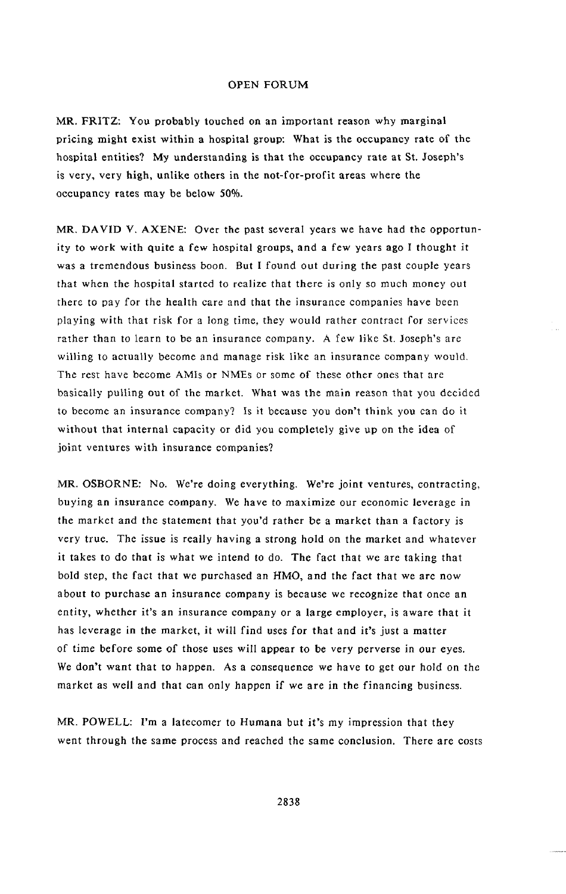MR. FRI**T**Z**:** You pr**o**bably **t**ou**c**h**e**d on an impor**t**ant r**e**ason why marg**i**nal pr**i**cing m**i**gh**t** exist w**i**thin a hospi**t**al group**:** Wh**a**t **i**s the o**c**cup**a**n**c**y rat**e** of the hospital entities? My understanding is that the occupancy rate at St. Joseph's is very, very high, unlike others in the not-for-profit areas where the occupancy rates may be below 50%.

MR*,* DAVID V*.* AXENE: Over the past several years we have had the opportunity to work with quite a few hospital groups, and a few years ago I thought it was a tremendous business boon. But I found out during the past couple years that when the hospital started to realize that there is only so much money *o*ut there to pay for the health care and that the insurance companies have been playing with that risk for a long time*,* they would rather contract for services rather than to learn to be an insurance c*o*mpany. A few like St. Joseph's arc willing to actually become and manage risk like an insurance company would. The rest have become AMIs or NMEs or some of these other ones that are basically pulling out of the market. What was the main reason that you decided to become an insurance company? Is it because you don't think you can do it without that internal capacity or did you completely give up on the idea of joint ventures with insurance companies?

MR. OS*B*OR*N*E: No. We're doing everything. We're joint ventures, contracting, buying an insurance company. We have to maximize our economic leverage in *t*he market and the statement that you'd rather be a market than a factory is very true. The issue is really having a strong hold on the market and whatever it takes to do that is what we intend to do. The fact that we are taking that bold step, the fact that we purchased an HMO, and the fact that we are now about to purchase an insurance company is because we recognize that once an en*t*ity, whether it's an insuran*c*e company or a large employer, is aware that it has leverage in the market, it will find uses for that and it's just a matter of time before some of those uses will appear to be very perverse in *o*ur eyes. We don't want that to happen. As a consequence we have to get *o*ur hold on the market as well and that can only happen if we are in the financing business.

MR. POWELL: I'm a latecomer to Humana but it's my impression that they went through the same process and reached the same conclusion. There are costs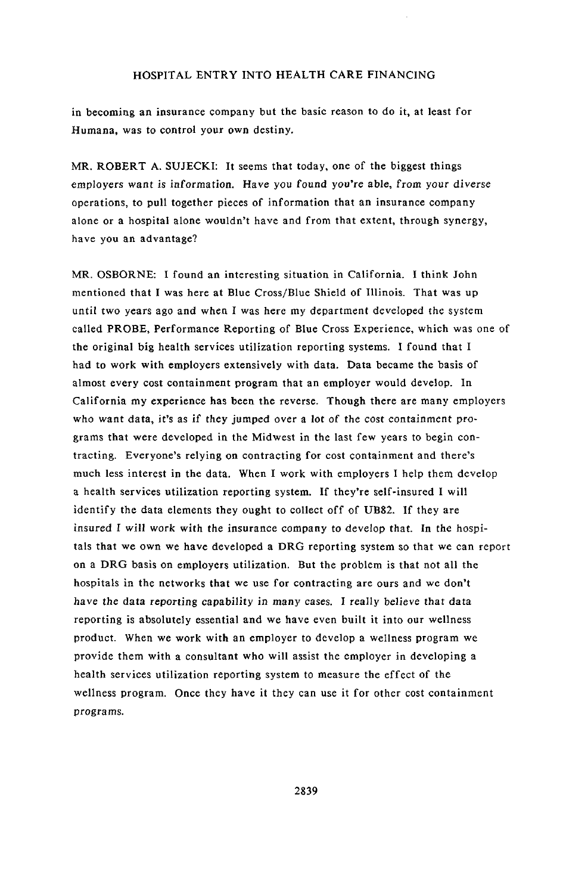in becoming an insurance company but the basic reason to do it, at least for Humana, was to control your own destiny*.*

MR. ROBERT A. SUJECKI: It seems that today, one of the biggest things employers wan*t* is inf*o*rmati*o*n. Have y*o*u found y*ou*'re abl*e*, from y*o*ur diverse operations, to pull together pieces of information that an insurance company alone or a hospital alone wou**l**dn't have and from that extent, through synergy, have you an advantage?

MR. OSBORNE: I found an interesting situation in California. I think John mentioned that I was here at Blue Cross*/*B**l**ue Shield of Illinois. That was u**p** until two years ag*o* and when *I* was here my de*p*artmen*t* developed the system called PROBE, Performance Reporting of Blue Cross Experience, which was one of the original big health services utilization reporting systems. I found that I had to work with employers extensively with data. Data became the basis of almost every cost containment program that an employer wou**l**d develop. In California my experience has been the reverse. Though there are many employers who want data, it's as if they **j**umped over a lot of the cost containment pr*o*grams that were developed in the Midwest in the last few years to begin contracting. Everyone's relying on contracting for cost containment and there's much less interest in the data. When I work with employers I help them develop a health services utilization reporting system. If they're self-insured I will identify the data elements they ought to collect off of UB82. If they are insured *I* will work with the insurance com**p**any to develo**p** tha*t*. In the hospitals that we own we have develo**p**ed a D*R*G reporting system so that we can report on a DRG basis on employers utilization. But the problem is that not all the hospitals in the networks that we use for contracting are ours and we don't have the data reporting capability i*n* many cases. I really belie*v*e that da*t*a reporting is absolutely essential and we have even built it into our wellness product. When we work with an em**p**loyer to develop a wellness program we provide them with a consultant who will assist the employer in developing a health services utilization reporting system to measure the effect of the wellness **p**rogram. Once they have it they can use it for other cost containment pr*o*grams.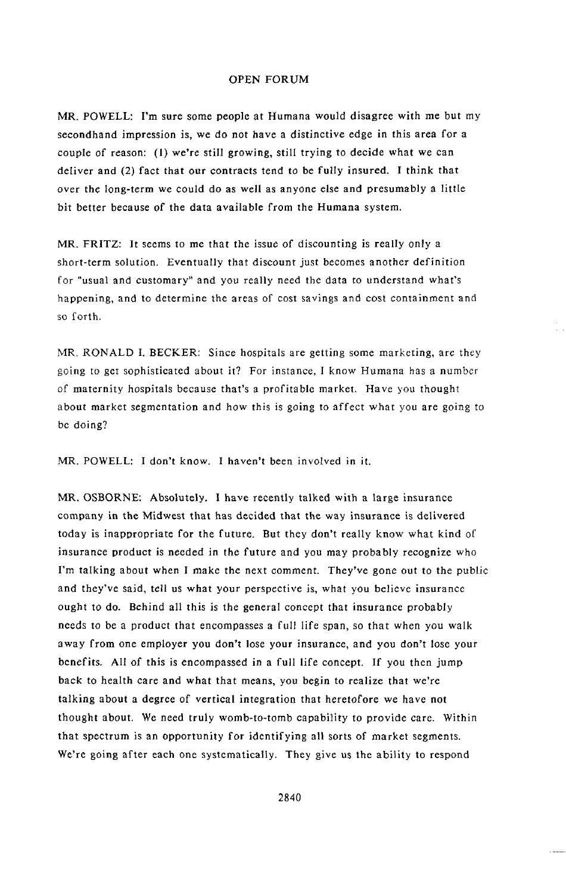MR. POWELL: I'm sure some people at Humana would disagree with me but my secondhand impression is, we do not have a distinctive edge in this area for a couple of reason: (1) we're still growing, still trying to decide what we can deliver and (2) fact that our contraets tend t*o* be fully insured. I think that over the long-term we could do as well as anyone else and presumably a little bit better because of the data available from the Humana system.

MR. FRITZ: It seems to me that the issue of dis*c*ounting is really only a short-term solution, Eventually that disc*o*unt just becomes another definition for "usual and customary" and you really need the data to understand what's happening, and to determine the areas of cost savings and c*o*st containment and so forth.

MR. RONALD I. BECKER: Since hospitals are getting some marketing, are they going to get sophisticated about it? For instance, I know Humana has a numb*e*r *o*f maternity h*o*spitals because that's a profitable market. Have you thought about market segmentation and how this is going to affect what you are going to be doing?

MR. POWELL: I don't know*.* I haven't been involved in it.

MR. OSBORNE: Absolutely. I have recently talked with a large insurance company in the Midwest that has decided that the way insurance is delivered today is inap**p**ropriate for the future. But they don*'*t really know what kind of insurance product is needed in the future and you may probably recognize who I'm talking about when I make the next comment. They*'*ve gon*e* out to the public and they've said, tell us what your perspective is, what you believe insurance ought t*o* do. Behind all this is the general concept that insurance probably needs to be a product that encompasses a full life span, so that when you walk away from one employer you don't lose your insurance, and you don*'*t lose your benefits. All of this is en*c*ompassed in a full life concept. If you then jump back to health care and what that means, you begin to realize that we*'*re talking about a degree of vertical integration that heret*o*fore we have not thought ab*o*ut. We need truly womb-to-tomb capability t*o* provide care. Within that spectrum is an opportunity f*o*r identifying all sorts of market segments. We're going after each one systematically. They give us the ability to respond

a standar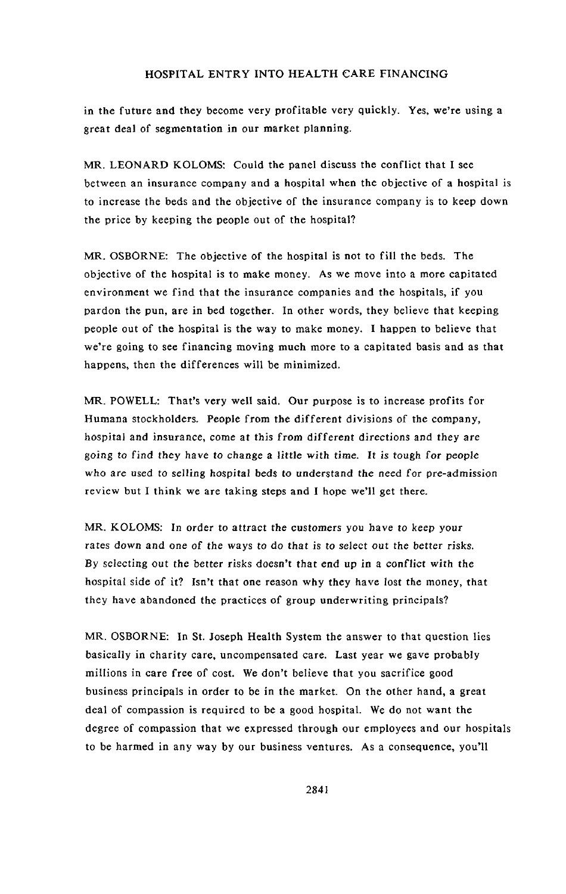in the future and they become very profitable very quickly. Yes, we're using a great deal of segmentation in our market planning.

MR. L**E**O**N**A**RD** KOLOMS: Could t**h**e pan**e**l d**i**scuss the conflict that I see between an insuranee company and a hospital when the objective of a hospital is to increase the beds and the objective of the insurance company is to keep down the price by keeping the people out of the hospital?

MR. OSBORNE: The objective of the hospital is not to fill the beds. The objective of the hospital is to make money. As we move into a more capitated environment we find that the insurance companies and the hospitals, if you pardon the pun, are in bed together. In other words, they believe that keeping people out of the hospital is the way to make money. I happen to believe that we're going to see financing moving much more to a capitated basis and as that happens, then the differences will be minimized.

MR. POWELL: That's ve**r**y w**e**ll sai**d**. Our pu**r**pos**e** is t**o** in**cre**ase p**r**ofits for Humana stockholders*.* People from the different divisions of the company, hospital and insurance, come at this from different directions and they are g*o*ing t*o* find *t*hey hav**e** t*o* change a little with time. It is tough f*o*r pe*o*ple who are used to s**e**lling *h*ospital beds t*o* understand the ne**e**d f**o**r pre-admissi*o*n review but I think we are taking steps and I hope we'll get there.

**M**R. KOL**OM**S: **I**n order t**o** attra**c***t* the cust*o*m**e**rs y*o*u have to keep your ra*t*es d*o*wn and one *o*f the ways to d*o* that is t*o* sele**c**t *o*ut t*h*e better risks. *B*y selecting out the better risks do**e**sn't that end up in a conflict with the hospital side of it? Isn't that one reason why they have lost the money, that they have abandoned the practices of group underwriting principals?

MR. OSBORNE: In St. Joseph Health S**y**s**t**em the answer **t**o **t**hat question **l**ies basically in charity care, uncompensated care. Last year we gave probably millions in care free of cost. We don't believe that you sacrifice good business principals in order to be in the market. On the other hand, a great deal of compassion is required to be a good hospital. We do not want the degree of compassion that we expressed through our employees and our hospitals to be harmed in any way by our business ventures. As a consequence, you'll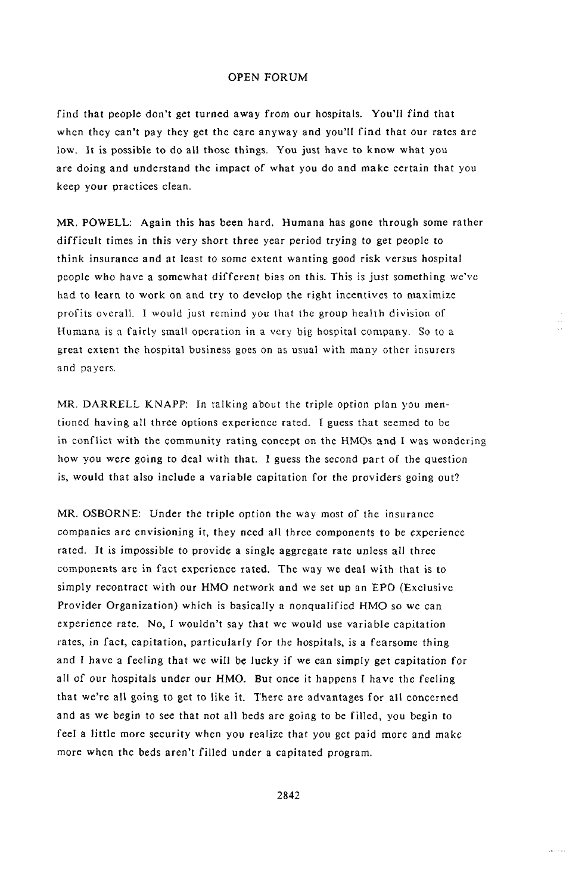find that people don'**t** g**et t**urn**e**d away from our hospitals. You'll find that when they can't pay they get the care anyway and you'll find that our rates are low, It is possible to do all those things. You just have to know what you are doing and understand the impact of what you do and make certain that you keep your practices clean*,*

MR*,* POWELL: Again this has been hard. Humana has gone through some rather difficult times in this very short three year period trying to get people to think insurance and at least to some extent wanting good risk versus hospital people who have a somewhat different bias on this. This is just something we've had to l**e**arn to work on and try to dev**e**lop th**e** right in**ce**ntives to maximiz**e** profits overall. I would just remind you that the group health division of Human**a** is **a** fairly small op**e**ration in **a** v**e**ry big hospital comp**a**ny. So to a **g**reat extent t**h**e hospital busi**n**ess g**o**es on as usual with many **o**ther insurers and payers.

MR. DARR*E*LL KNAPP: In talking about the triple option plan you mentioned having all three options experience rated. I guess that seemed to be in conflict with the community *r*ating concept on the HMOs and I was wondering how you were going to deal with that. I guess the second part of the questi*o*n is, would that also include a variable capitation for the providers going out?

MR. OSBORNE: *U*nder the triple option the way most *o*f the insurance companies are envisioning it, they need all three components to be experience rated. It is impossible to provide a single aggregate rate unless all three components are in fact experience rated. The way we deal with that is to simply recontract with our HMO network and we set up an EPO (Exclusive Provider Organization) which is basically a nonqualified HMO so we can experien*c*e rate. No, I wouldn't say that we would use variable *c*apitation rates, in fact, capitation, particularly for the hospitals, is a fearsome thing and I have a feeling that we will be lucky if we can simply get *c*apitation f*o*r all of *o*ur hospitals under our HMO. But once it happens I have the feeling that we're all going to get to like it. There are advantages for all concerned and as we begin to see that not all beds are going to be filled, you begin to feel a little more security when you realize that you get paid more and make more when the beds aren't filled under a capitated program*.*

2842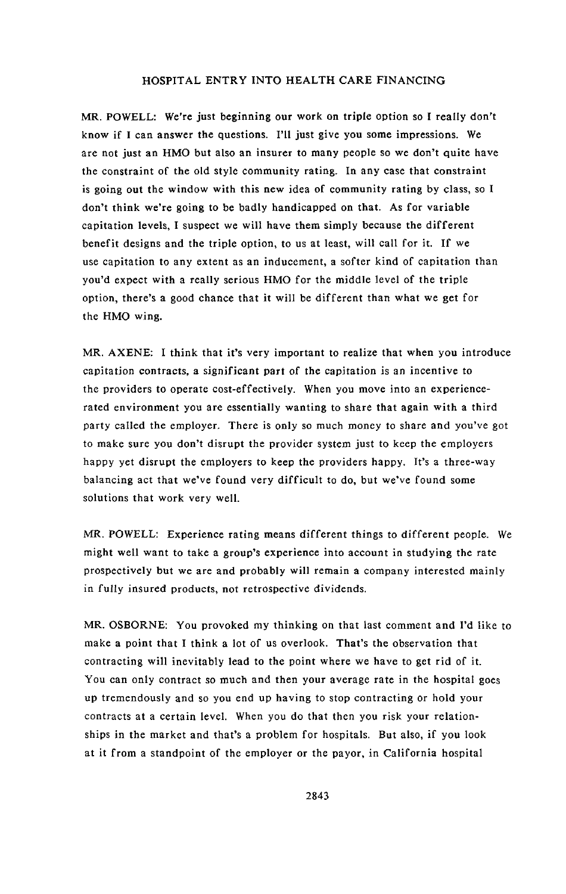MR. POW**E**LL: We're jus**t** beginning ou**r** work on **t**riple op**t**i**o**n so I **r**eall**y** don*'***t** know if I can answer the questions. I'll just give you some impressions. We are not just an HMO but also an insurer to many people so we don't quite have the constraint of the old style community rating. In any ease that constraint is going out the window with this new idea of community rating by class, so I don't think we're going to be badly handica**p**ped on that. As for variable capi**t**ation leve**l**s, **I** suspect we will have them simpl**y** because **t**he diffe**r**en**t** benefit designs and the triple option, to us at least, will call for it. If we use capitation **t**o any extent as an inducement, a softer kind of capitation than you'd expect with a really serious HMO for the middle level of the triple option, there's a good chance that it will be different than what we get for the HMO wing.

MR. AXENE: I **t**hink **t**hat it**'**s ver**y** im**p**o**r**tant to realize **t**hat whe**n y**ou in**t**roduce ca**p**ita**t**ion con**t**rac**t**s, a significant **p**art of **t**he ca**p**itation is an incen*t*ive **t**o the providers to o**p**erate cost-ef**f**ectively. When you move into an ex**p**eriencerated environment you are essentially wanting to share that again with a third **p**arty called the em**p**loyer. There is only so much money to share and you've got to make sure you don't disru**p**t the provider system just to kee**p** the em**p**loyers ha**pp**y yet disru**p**t the employers to kee**p** the **p**roviders ha**pp**y. It's a three-way balancing act that we've found very difficult to do, but we've found some solutions that work very well.

**MR.** POWELL: **E**xperience ra**tin**g means differen**t t**hings **to** different people**.** We might well wa**n**t to take a group's experience into account in studying the rate prospectively but we are and probably will remain a company interested mainly in fully insured products, not retrospective dividends.

MR. OSBORNE: You provoked my thinking on that last comment and I'd like to make a point that I think a lot of us overlook. That's the observation that contracting will inevitabl**y** lead to the point where we have to get rid of it. You can only contract so much and then your average rate in the hospital goes up tremendously and so you end up having to stop contracting or hold your contracts at a certain level. When you do that then you risk your relationships in the market and that's a problem for hospitals. But also, if you look at it from a standpoint of the employer or the payor, in California hospital